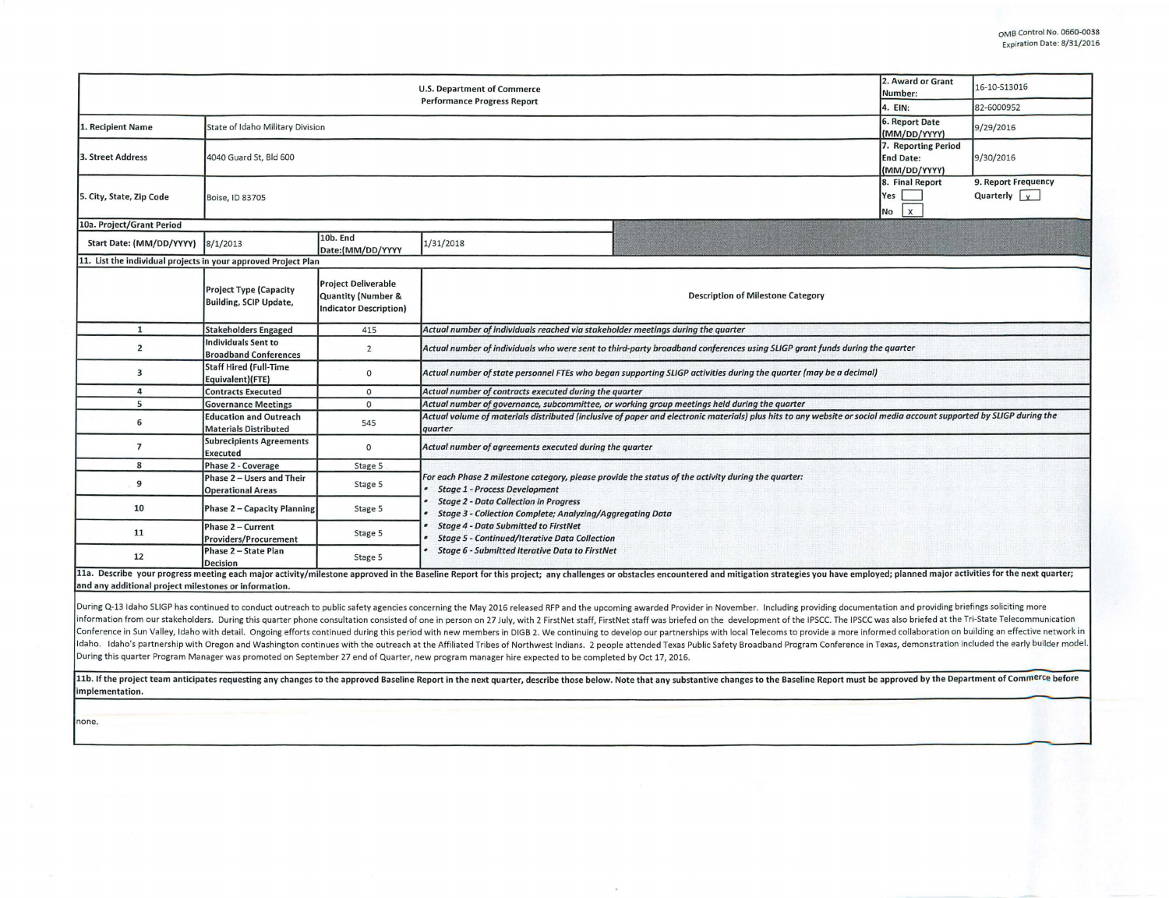|                                                                |                                                                | <b>U.S. Department of Commerce</b><br><b>Performance Progress Report</b>   |                                                                                                                                                                                                                                | 2. Award or Grant<br>Number:                            | 16-10-S13016                                |  |  |  |  |
|----------------------------------------------------------------|----------------------------------------------------------------|----------------------------------------------------------------------------|--------------------------------------------------------------------------------------------------------------------------------------------------------------------------------------------------------------------------------|---------------------------------------------------------|---------------------------------------------|--|--|--|--|
|                                                                |                                                                | 4. EIN:                                                                    | 82-6000952                                                                                                                                                                                                                     |                                                         |                                             |  |  |  |  |
| 1. Recipient Name                                              | <b>State of Idaho Military Division</b>                        | 6. Report Date<br>(MM/DD/YYYY)                                             | 9/29/2016                                                                                                                                                                                                                      |                                                         |                                             |  |  |  |  |
| 3. Street Address                                              | 4040 Guard St, Bld 600                                         |                                                                            |                                                                                                                                                                                                                                | 7. Reporting Period<br><b>End Date:</b><br>(MM/DD/YYYY) | 9/30/2016                                   |  |  |  |  |
| 5. City, State, Zip Code                                       | Boise, ID 83705                                                |                                                                            |                                                                                                                                                                                                                                | 8. Final Report<br>Yes<br><b>x</b><br>No                | 9. Report Frequency<br>Quarterly $\sqrt{x}$ |  |  |  |  |
| 10a. Project/Grant Period                                      |                                                                |                                                                            |                                                                                                                                                                                                                                |                                                         |                                             |  |  |  |  |
| Start Date: (MM/DD/YYYY)                                       | 8/1/2013                                                       | 10b. End<br>Date:(MM/DD/YYYY                                               | 1/31/2018                                                                                                                                                                                                                      |                                                         |                                             |  |  |  |  |
| 11. List the individual projects in your approved Project Plan |                                                                |                                                                            |                                                                                                                                                                                                                                |                                                         |                                             |  |  |  |  |
|                                                                | <b>Project Type (Capacity</b><br><b>Building, SCIP Update,</b> | <b>Project Deliverable</b><br>Quantity (Number &<br>Indicator Description) | <b>Description of Milestone Category</b>                                                                                                                                                                                       |                                                         |                                             |  |  |  |  |
| $\mathbf{1}$                                                   | <b>Stakeholders Engaged</b>                                    | 415                                                                        | Actual number of individuals reached via stakeholder meetings during the quarter                                                                                                                                               |                                                         |                                             |  |  |  |  |
| $\overline{2}$                                                 | <b>Individuals Sent to</b><br><b>Broadband Conferences</b>     | $\overline{2}$                                                             | Actual number of individuals who were sent to third-party broadband conferences using SLIGP grant funds during the quarter                                                                                                     |                                                         |                                             |  |  |  |  |
| $\overline{\mathbf{3}}$                                        | <b>Staff Hired (Full-Time</b><br>Equivalent)(FTE)              | $\circ$                                                                    | Actual number of state personnel FTEs who began supporting SLIGP activities during the quarter (may be a decimal)                                                                                                              |                                                         |                                             |  |  |  |  |
| $\overline{a}$                                                 | <b>Contracts Executed</b>                                      | $\circ$                                                                    | Actual number of contracts executed during the quarter                                                                                                                                                                         |                                                         |                                             |  |  |  |  |
| 5                                                              | <b>Governance Meetings</b>                                     | $\Omega$                                                                   | Actual number of governance, subcommittee, or working group meetings held during the quarter                                                                                                                                   |                                                         |                                             |  |  |  |  |
| 6                                                              | <b>Education and Outreach</b><br><b>Materials Distributed</b>  | 545                                                                        | Actual volume of materials distributed (inclusive of paper and electronic materials) plus hits to any website or social media account supported by SLIGP during the<br>quarter                                                 |                                                         |                                             |  |  |  |  |
| $\overline{7}$                                                 | <b>Subrecipients Agreements</b><br><b>Executed</b>             | $\Omega$                                                                   | Actual number of agreements executed during the quarter                                                                                                                                                                        |                                                         |                                             |  |  |  |  |
| 8                                                              | Phase 2 - Coverage                                             | Stage 5                                                                    |                                                                                                                                                                                                                                |                                                         |                                             |  |  |  |  |
| 9                                                              | Phase 2 - Users and Their<br><b>Operational Areas</b>          | Stage 5                                                                    | For each Phase 2 milestone category, please provide the status of the activity during the quarter:<br><b>Stage 1 - Process Development</b>                                                                                     |                                                         |                                             |  |  |  |  |
| 10                                                             | Phase 2 - Capacity Planning                                    | Stage 5                                                                    | <b>Stage 2 - Data Collection in Progress</b><br>Stage 3 - Collection Complete; Analyzing/Aggregating Data<br><b>Stage 4 - Data Submitted to FirstNet</b><br><b>Stage 5 - Continued/Iterative Data Collection</b>               |                                                         |                                             |  |  |  |  |
| 11                                                             | Phase 2 - Current<br>Providers/Procurement                     | Stage 5                                                                    |                                                                                                                                                                                                                                |                                                         |                                             |  |  |  |  |
| 12                                                             | Phase 2 - State Plan<br>Decision                               | Stage 5                                                                    | <b>Stage 6 - Submitted Iterative Data to FirstNet</b>                                                                                                                                                                          |                                                         |                                             |  |  |  |  |
| and any additional project milestones or information.          |                                                                |                                                                            | 11a. Describe your progress meeting each major activity/milestone approved in the Baseline Report for this project; any challenges or obstacles encountered and mitigation strategies you have employed; planned major activit |                                                         |                                             |  |  |  |  |

During Q-13 Idaho SLIGP has continued to conduct outreach to public safety agencies concerning the May 2016 released RFP and the upcoming awarded Provider in November. Including providing documentation and providing briefi information from our stakeholders. During this quarter phone consultation consisted of one in person on 27 July, with 2 FirstNet staff, FirstNet staff was briefed on the development of the IPSCC. The IPSCC was also briefed Conference in Sun Valley, Idaho with detail. Ongoing efforts continued during this period with new members in DIGB 2. We continuing to develop our partnerships with local Telecoms to provide a more informed collaboration o Idaho. Idaho's partnership with Oregon and Washington continues with the outreach at the Affiliated Tribes of Northwest Indians. 2 people attended Texas Public Safety Broadband Program Conference in Texas, demonstration in During this quarter Program Manager was promoted on September 27 end of Quarter, new program manager hire expected to be completed by Oct 17, 2016.

11b. If the project team anticipates requesting any changes to the approved Baseline Report in the next quarter, describe those below. Note that any substantive changes to the Baseline Report must be approved by the Depart implementation.

none.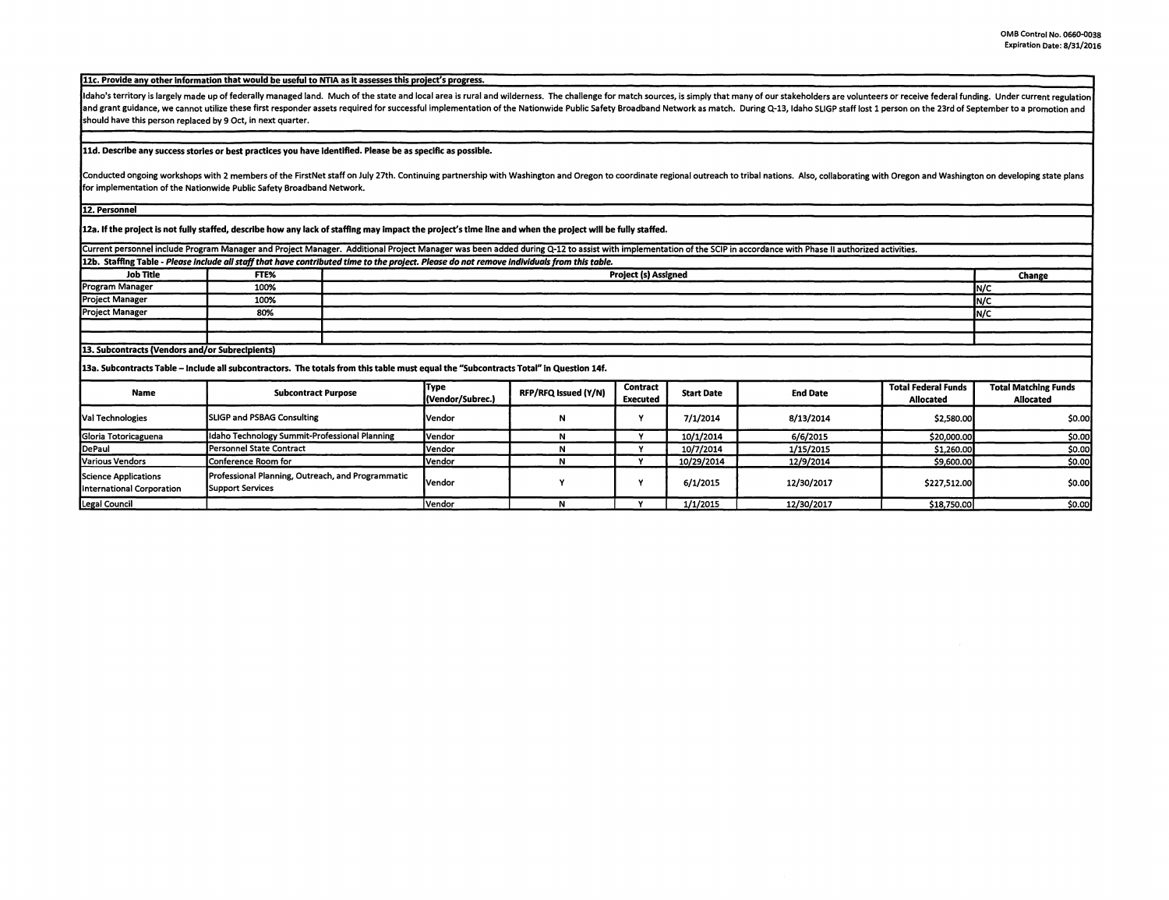11c. Provide any other information that would be useful to NTIA as it assesses this project's progress.

Idaho's territory is largely made up of federally managed land. Much of the state and local area is rural and wilderness. The challenge for match sources, is simply that many of our stakeholders are volunteers or receive f and grant guidance, we cannot utilize these first responder assets required for successful implementation of the Nationwide Public Safety Broadband Network as match. During Q-13, Idaho SLIGP staff lost 1 person on the 23rd should have this person replaced by 9 Oct, in next quarter.

## 11d. Describe any success stories or best practices you have Identified. Please be as specific as possible.

Conducted ongoing workshops with 2 members of the FirstNet staff on July 27th. Continuing partnership with Washington and Oregon to coordinate regional outreach to tribal nations. Also, collaborating with Oregon and Washin for implementation of the Nationwide Public Safety Broadband Network.

12. Personnel

12a. If the project is not fully staffed, describe how any lack of staffing may impact the project's time line and when the project will be fully staffed.

Current personnel include Program Manager and Project Manager. Additional Project Manager was been added during Q-12 to assist with implementation of the SCIP in accordance with Phase II authorized activities.

12b. Staffing Table - *Please Include all staff that have contributed time ta the project. Please do not remove lndlvlduals from this table.* 

| <b>Job Title</b>                                | FTE% | <b>Project (s) Assigned</b> | Change |  |  |
|-------------------------------------------------|------|-----------------------------|--------|--|--|
| <b>Program Manager</b>                          | 100% |                             | IN/C   |  |  |
| <b>Project Manager</b>                          | 100% |                             | IN/C   |  |  |
| <b>Project Manager</b>                          | 80%  |                             | IN/C   |  |  |
|                                                 |      |                             |        |  |  |
|                                                 |      |                             |        |  |  |
| 13. Subcontracts (Vendors and/or Subrecipients) |      |                             |        |  |  |

**13a. Subcontracts Table** - **Include all subcontractors. The totals from this table must equal the "Subcontracts Total" In Question 14f.** 

| Name                                                     | <b>Subcontract Purpose</b>                                                   | Type<br>(Vendor/Subrec.) | RFP/RFQ Issued (Y/N) | <b>Contract</b><br>Executed | <b>Start Date</b> | <b>End Date</b> | <b>Total Federal Funds</b><br><b>Allocated</b> | <b>Total Matching Funds</b><br>Allocated |
|----------------------------------------------------------|------------------------------------------------------------------------------|--------------------------|----------------------|-----------------------------|-------------------|-----------------|------------------------------------------------|------------------------------------------|
| Val Technologies                                         | <b>SLIGP and PSBAG Consulting</b>                                            | lVendor                  |                      |                             | 7/1/2014          | 8/13/2014       | \$2,580.00                                     | \$0.00                                   |
| Gloria Totoricaguena                                     | Idaho Technology Summit-Professional Planning                                | <b>I</b> Vendor          |                      |                             | 10/1/2014         | 6/6/2015        | \$20,000,00                                    | \$0.00                                   |
| DePaul                                                   | <b>Personnel State Contract</b>                                              | lVendor                  |                      |                             | 10/7/2014         | 1/15/2015       | \$1,260.00                                     | \$0.00                                   |
| Various Vendors                                          | Conference Room for                                                          | <b>Vendor</b>            |                      |                             | 10/29/2014        | 12/9/2014       | \$9,600.00                                     | <b>SO.OO</b>                             |
| Science Applications<br><b>International Corporation</b> | Professional Planning, Outreach, and Programmatic<br><b>Support Services</b> | lVendor                  |                      |                             | 6/1/2015          | 12/30/2017      | \$227,512.00                                   | \$0.00                                   |
| Legal Council                                            |                                                                              | Vendor                   |                      |                             | 1/1/2015          | 12/30/2017      | \$18,750.00                                    | \$0.00                                   |